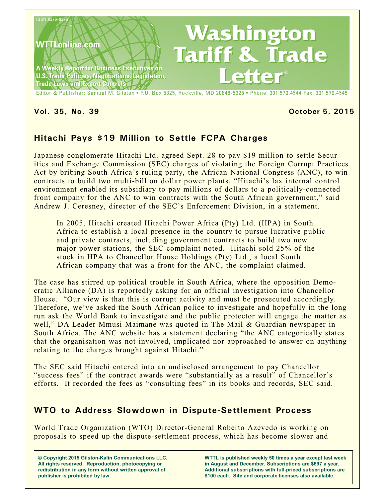

#### **Vol. 35, No. 39 October 5, 2015**

## **Hitachi Pays \$19 Million to Settle FCPA Charges**

Japanese conglomerate Hitachi Ltd. agreed Sept. 28 to pay \$19 million to settle Securities and Exchange Commission (SEC) charges of violating the Foreign Corrupt Practices Act by bribing South Africa's ruling party, the African National Congress (ANC), to win contracts to build two multi-billion dollar power plants. "Hitachi's lax internal control environment enabled its subsidiary to pay millions of dollars to a politically-connected front company for the ANC to win contracts with the South African government," said Andrew J. Ceresney, director of the SEC's Enforcement Division, in a statement.

In 2005, Hitachi created Hitachi Power Africa (Pty) Ltd. (HPA) in South Africa to establish a local presence in the country to pursue lucrative public and private contracts, including government contracts to build two new major power stations, the SEC complaint noted. Hitachi sold 25% of the stock in HPA to Chancellor House Holdings (Pty) Ltd., a local South African company that was a front for the ANC, the complaint claimed.

The case has stirred up political trouble in South Africa, where the opposition Democratic Alliance (DA) is reportedly asking for an official investigation into Chancellor House. "Our view is that this is corrupt activity and must be prosecuted accordingly. Therefore, we've asked the South African police to investigate and hopefully in the long run ask the World Bank to investigate and the public protector will engage the matter as well," DA Leader Mmusi Maimane was quoted in The Mail & Guardian newspaper in South Africa. The ANC website has a statement declaring "the ANC categorically states that the organisation was not involved, implicated nor approached to answer on anything relating to the charges brought against Hitachi."

The SEC said Hitachi entered into an undisclosed arrangement to pay Chancellor "success fees" if the contract awards were "substantially as a result" of Chancellor's efforts. It recorded the fees as "consulting fees" in its books and records, SEC said.

#### **WTO to Address Slowdown in Dispute-Settlement Process**

World Trade Organization (WTO) Director-General Roberto Azevedo is working on proposals to speed up the dispute-settlement process, which has become slower and

**© Copyright 2015 Gilston-Kalin Communications LLC. All rights reserved. Reproduction, photocopying or redistribution in any form without written approval of publisher is prohibited by law.** 

**WTTL is published weekly 50 times a year except last week in August and December. Subscriptions are \$697 a year. Additional subscriptions with full-priced subscriptions are \$100 each. Site and corporate licenses also available.**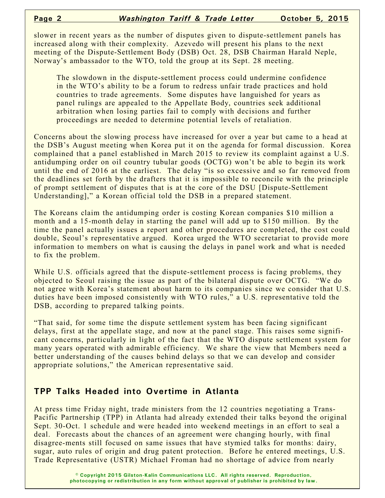slower in recent years as the number of disputes given to dispute-settlement panels has increased along with their complexity. Azevedo will present his plans to the next meeting of the Dispute-Settlement Body (DSB) Oct. 28, DSB Chairman Harald Neple, Norway's ambassador to the WTO, told the group at its Sept. 28 meeting.

The slowdown in the dispute-settlement process could undermine confidence in the WTO's ability to be a forum to redress unfair trade practices and hold countries to trade agreements. Some disputes have languished for years as panel rulings are appealed to the Appellate Body, countries seek additional arbitration when losing parties fail to comply with decisions and further proceedings are needed to determine potential levels of retaliation.

Concerns about the slowing process have increased for over a year but came to a head at the DSB's August meeting when Korea put it on the agenda for formal discussion. Korea complained that a panel established in March 2015 to review its complaint against a U.S. antidumping order on oil country tubular goods (OCTG) won't be able to begin its work until the end of 2016 at the earliest. The delay "is so excessive and so far removed from the deadlines set forth by the drafters that it is impossible to reconcile with the principle of prompt settlement of disputes that is at the core of the DSU [Dispute-Settlement Understanding]," a Korean official told the DSB in a prepared statement.

The Koreans claim the antidumping order is costing Korean companies \$10 million a month and a 15-month delay in starting the panel will add up to \$150 million. By the time the panel actually issues a report and other procedures are completed, the cost could double, Seoul's representative argued. Korea urged the WTO secretariat to provide more information to members on what is causing the delays in panel work and what is needed to fix the problem.

While U.S. officials agreed that the dispute-settlement process is facing problems, they objected to Seoul raising the issue as part of the bilateral dispute over OCTG. "We do not agree with Korea's statement about harm to its companies since we consider that U.S. duties have been imposed consistently with WTO rules," a U.S. representative told the DSB, according to prepared talking points.

"That said, for some time the dispute settlement system has been facing significant delays, first at the appellate stage, and now at the panel stage. This raises some significant concerns, particularly in light of the fact that the WTO dispute settlement system for many years operated with admirable efficiency. We share the view that Members need a better understanding of the causes behind delays so that we can develop and consider appropriate solutions," the American representative said.

#### **TPP Talks Headed into Overtime in Atlanta**

At press time Friday night, trade ministers from the 12 countries negotiating a Trans-Pacific Partnership (TPP) in Atlanta had already extended their talks beyond the original Sept. 30-Oct. 1 schedule and were headed into weekend meetings in an effort to seal a deal. Forecasts about the chances of an agreement were changing hourly, with final disagree-ments still focused on same issues that have stymied talks for months: dairy, sugar, auto rules of origin and drug patent protection. Before he entered meetings, U.S. Trade Representative (USTR) Michael Froman had no shortage of advice from nearly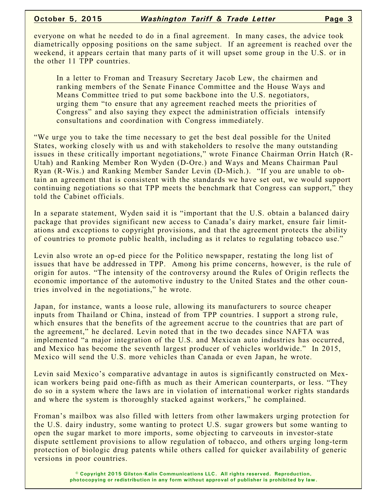everyone on what he needed to do in a final agreement. In many cases, the advice took diametrically opposing positions on the same subject. If an agreement is reached over the weekend, it appears certain that many parts of it will upset some group in the U.S. or in the other 11 TPP countries.

In a letter to Froman and Treasury Secretary Jacob Lew, the chairmen and ranking members of the Senate Finance Committee and the House Ways and Means Committee tried to put some backbone into the U.S. negotiators, urging them "to ensure that any agreement reached meets the priorities of Congress" and also saying they expect the administration officials intensify consultations and coordination with Congress immediately.

"We urge you to take the time necessary to get the best deal possible for the United States, working closely with us and with stakeholders to resolve the many outstanding issues in these critically important negotiations," wrote Finance Chairman Orrin Hatch (R-Utah) and Ranking Member Ron Wyden (D-Ore.) and Ways and Means Chairman Paul Ryan (R-Wis.) and Ranking Member Sander Levin (D-Mich.). "If you are unable to obtain an agreement that is consistent with the standards we have set out, we would support continuing negotiations so that TPP meets the benchmark that Congress can support," they told the Cabinet officials.

In a separate statement, Wyden said it is "important that the U.S. obtain a balanced dairy package that provides significant new access to Canada's dairy market, ensure fair limitations and exceptions to copyright provisions, and that the agreement protects the ability of countries to promote public health, including as it relates to regulating tobacco use."

Levin also wrote an op-ed piece for the Politico newspaper, restating the long list of issues that have be addressed in TPP. Among his prime concerns, however, is the rule of origin for autos. "The intensity of the controversy around the Rules of Origin reflects the economic importance of the automotive industry to the United States and the other countries involved in the negotiations," he wrote.

Japan, for instance, wants a loose rule, allowing its manufacturers to source cheaper inputs from Thailand or China, instead of from TPP countries. I support a strong rule, which ensures that the benefits of the agreement accrue to the countries that are part of the agreement," he declared. Levin noted that in the two decades since NAFTA was implemented "a major integration of the U.S. and Mexican auto industries has occurred, and Mexico has become the seventh largest producer of vehicles worldwide." In 2015, Mexico will send the U.S. more vehicles than Canada or even Japan, he wrote.

Levin said Mexico's comparative advantage in autos is significantly constructed on Mexican workers being paid one-fifth as much as their American counterparts, or less. "They do so in a system where the laws are in violation of international worker rights standards and where the system is thoroughly stacked against workers," he complained.

Froman's mailbox was also filled with letters from other lawmakers urging protection for the U.S. dairy industry, some wanting to protect U.S. sugar growers but some wanting to open the sugar market to more imports, some objecting to carveouts in investor-state dispute settlement provisions to allow regulation of tobacco, and others urging long-term protection of biologic drug patents while others called for quicker availability of generic versions in poor countries.

> **© Copyright 2015 Gilston-Kalin Communications LLC. All rights reserved. Reproduction, photocopying or redistribution in any form without approval of publisher is prohibited by law.**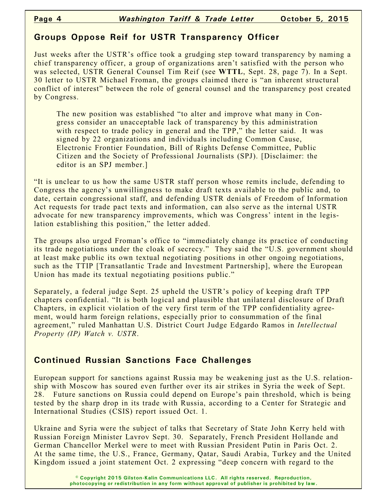## **Groups Oppose Reif for USTR Transparency Officer**

Just weeks after the USTR's office took a grudging step toward transparency by naming a chief transparency officer, a group of organizations aren't satisfied with the person who was selected, USTR General Counsel Tim Reif (see **WTTL**, Sept. 28, page 7). In a Sept. 30 letter to USTR Michael Froman, the groups claimed there is "an inherent structural conflict of interest" between the role of general counsel and the transparency post created by Congress.

The new position was established "to alter and improve what many in Congress consider an unacceptable lack of transparency by this administration with respect to trade policy in general and the TPP," the letter said. It was signed by 22 organizations and individuals including Common Cause, Electronic Frontier Foundation, Bill of Rights Defense Committee, Public Citizen and the Society of Professional Journalists (SPJ). [Disclaimer: the editor is an SPJ member.]

"It is unclear to us how the same USTR staff person whose remits include, defending to Congress the agency's unwillingness to make draft texts available to the public and, to date, certain congressional staff, and defending USTR denials of Freedom of Information Act requests for trade pact texts and information, can also serve as the internal USTR advocate for new transparency improvements, which was Congress' intent in the legislation establishing this position," the letter added.

The groups also urged Froman's office to "immediately change its practice of conducting its trade negotiations under the cloak of secrecy." They said the "U.S. government should at least make public its own textual negotiating positions in other ongoing negotiations, such as the TTIP [Transatlantic Trade and Investment Partnership], where the European Union has made its textual negotiating positions public."

Separately, a federal judge Sept. 25 upheld the USTR's policy of keeping draft TPP chapters confidential. "It is both logical and plausible that unilateral disclosure of Draft Chapters, in explicit violation of the very first term of the TPP confidentiality agreement, would harm foreign relations, especially prior to consummation of the final agreement," ruled Manhattan U.S. District Court Judge Edgardo Ramos in *Intellectual Property (IP) Watch v. USTR*.

## **Continued Russian Sanctions Face Challenges**

European support for sanctions against Russia may be weakening just as the U.S. relationship with Moscow has soured even further over its air strikes in Syria the week of Sept. 28. Future sanctions on Russia could depend on Europe's pain threshold, which is being tested by the sharp drop in its trade with Russia, according to a Center for Strategic and International Studies (CSIS) report issued Oct. 1.

Ukraine and Syria were the subject of talks that Secretary of State John Kerry held with Russian Foreign Minister Lavrov Sept. 30. Separately, French President Hollande and German Chancellor Merkel were to meet with Russian President Putin in Paris Oct. 2. At the same time, the U.S., France, Germany, Qatar, Saudi Arabia, Turkey and the United Kingdom issued a joint statement Oct. 2 expressing "deep concern with regard to the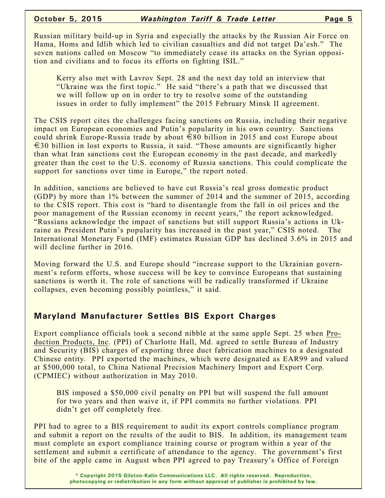Russian military build-up in Syria and especially the attacks by the Russian Air Force on Hama, Homs and Idlib which led to civilian casualties and did not target Da'esh." The seven nations called on Moscow "to immediately cease its attacks on the Syrian opposition and civilians and to focus its efforts on fighting ISIL."

Kerry also met with Lavrov Sept. 28 and the next day told an interview that "Ukraine was the first topic." He said "there's a path that we discussed that we will follow up on in order to try to resolve some of the outstanding issues in order to fully implement" the 2015 February Minsk II agreement.

The CSIS report cites the challenges facing sanctions on Russia, including their negative impact on European economies and Putin's popularity in his own country. Sanctions could shrink Europe-Russia trade by about  $\epsilon$ 80 billion in 2015 and cost Europe about  $\epsilon$ 30 billion in lost exports to Russia, it said. "Those amounts are significantly higher than what Iran sanctions cost the European economy in the past decade, and markedly greater than the cost to the U.S. economy of Russia sanctions. This could complicate the support for sanctions over time in Europe," the report noted.

In addition, sanctions are believed to have cut Russia's real gross domestic product (GDP) by more than 1% between the summer of 2014 and the summer of 2015, according to the CSIS report. This cost is "hard to disentangle from the fall in oil prices and the poor management of the Russian economy in recent years," the report acknowledged. "Russians acknowledge the impact of sanctions but still support Russia's actions in Ukraine as President Putin's popularity has increased in the past year," CSIS noted. The International Monetary Fund (IMF) estimates Russian GDP has declined 3.6% in 2015 and will decline further in 2016.

Moving forward the U.S. and Europe should "increase support to the Ukrainian government's reform efforts, whose success will be key to convince Europeans that sustaining sanctions is worth it. The role of sanctions will be radically transformed if Ukraine collapses, even becoming possibly pointless," it said.

# **Maryland Manufacturer Settles BIS Export Charges**

Export compliance officials took a second nibble at the same apple Sept. 25 when Production Products, Inc. (PPI) of Charlotte Hall, Md. agreed to settle Bureau of Industry and Security (BIS) charges of exporting three duct fabrication machines to a designated Chinese entity. PPI exported the machines, which were designated as EAR99 and valued at \$500,000 total, to China National Precision Machinery Import and Export Corp. (CPMIEC) without authorization in May 2010.

BIS imposed a \$50,000 civil penalty on PPI but will suspend the full amount for two years and then waive it, if PPI commits no further violations. PPI didn't get off completely free.

PPI had to agree to a BIS requirement to audit its export controls compliance program and submit a report on the results of the audit to BIS. In addition, its management team must complete an export compliance training course or program within a year of the settlement and submit a certificate of attendance to the agency. The government's first bite of the apple came in August when PPI agreed to pay Treasury's Office of Foreign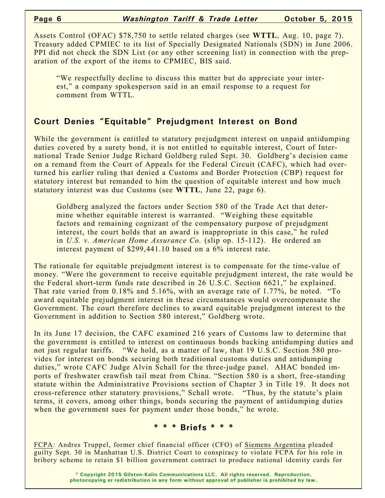Assets Control (OFAC) \$78,750 to settle related charges (see **WTTL**, Aug. 10, page 7). Treasury added CPMIEC to its list of Specially Designated Nationals (SDN) in June 2006. PPI did not check the SDN List (or any other screening list) in connection with the preparation of the export of the items to CPMIEC, BIS said.

"We respectfully decline to discuss this matter but do appreciate your interest," a company spokesperson said in an email response to a request for comment from WTTL.

### **Court Denies "Equitable" Prejudgment Interest on Bond**

While the government is entitled to statutory prejudgment interest on unpaid antidumping duties covered by a surety bond, it is not entitled to equitable interest, Court of International Trade Senior Judge Richard Goldberg ruled Sept. 30. Goldberg's decision came on a remand from the Court of Appeals for the Federal Circuit (CAFC), which had overturned his earlier ruling that denied a Customs and Border Protection (CBP) request for statutory interest but remanded to him the question of equitable interest and how much statutory interest was due Customs (see **WTTL**, June 22, page 6).

Goldberg analyzed the factors under Section 580 of the Trade Act that determine whether equitable interest is warranted. "Weighing these equitable factors and remaining cognizant of the compensatory purpose of prejudgment interest, the court holds that an award is inappropriate in this case," he ruled in *U.S. v. American Home Assurance Co.* (slip op. 15-112). He ordered an interest payment of \$299,441.10 based on a 6% interest rate.

The rationale for equitable prejudgment interest is to compensate for the time-value of money. "Were the government to receive equitable prejudgment interest, the rate would be the Federal short-term funds rate described in 26 U.S.C. Section 6621," he explained. That rate varied from 0.18% and 5.16%, with an average rate of 1.77%, he noted. "To award equitable prejudgment interest in these circumstances would overcompensate the Government. The court therefore declines to award equitable prejudgment interest to the Government in addition to Section 580 interest," Goldberg wrote.

In its June 17 decision, the CAFC examined 216 years of Customs law to determine that the government is entitled to interest on continuous bonds backing antidumping duties and not just regular tariffs. "We hold, as a matter of law, that 19 U.S.C. Section 580 provides for interest on bonds securing both traditional customs duties and antidumping duties," wrote CAFC Judge Alvin Schall for the three-judge panel. AHAC bonded imports of freshwater crawfish tail meat from China. "Section 580 is a short, free-standing statute within the Administrative Provisions section of Chapter 3 in Title 19. It does not cross-reference other statutory provisions," Schall wrote. "Thus, by the statute's plain terms, it covers, among other things, bonds securing the payment of antidumping duties when the government sues for payment under those bonds," he wrote.

#### **\* \* \* Briefs \* \* \***

FCPA: Andres Truppel, former chief financial officer (CFO) of Siemens Argentina pleaded guilty Sept. 30 in Manhattan U.S. District Court to conspiracy to violate FCPA for his role in bribery scheme to retain \$1 billion government contract to produce national identity cards for

> **© Copyright 2015 Gilston-Kalin Communications LLC. All rights reserved. Reproduction, photocopying or redistribution in any form without approval of publisher is prohibited by law.**